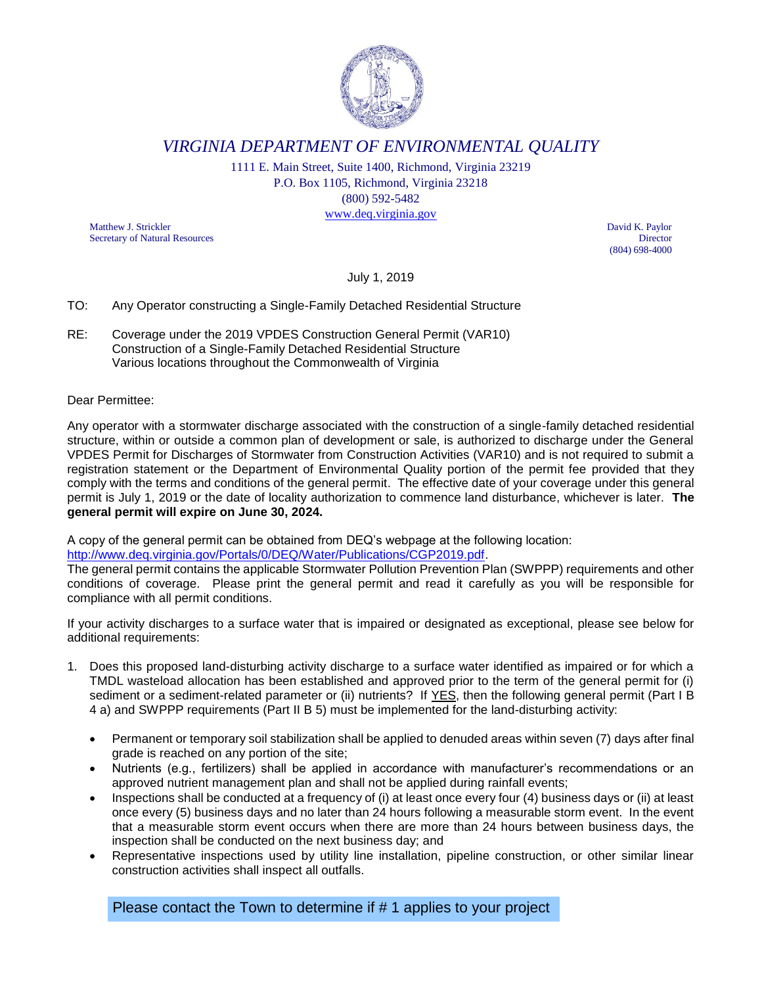

*VIRGINIA DEPARTMENT OF ENVIRONMENTAL QUALITY*

1111 E. Main Street, Suite 1400, Richmond, Virginia 23219 P.O. Box 1105, Richmond, Virginia 23218 (800) 592-5482 [www.deq.virginia.gov](http://www.deq.virginia.gov/)

Matthew J. Strickler David K. Paylor Secretary of Natural Resources Director

(804) 698-4000

July 1, 2019

## TO: Any Operator constructing a Single-Family Detached Residential Structure

RE: Coverage under the 2019 VPDES Construction General Permit (VAR10) Construction of a Single-Family Detached Residential Structure Various locations throughout the Commonwealth of Virginia

## Dear Permittee:

Any operator with a stormwater discharge associated with the construction of a single-family detached residential structure, within or outside a common plan of development or sale, is authorized to discharge under the General VPDES Permit for Discharges of Stormwater from Construction Activities (VAR10) and is not required to submit a registration statement or the Department of Environmental Quality portion of the permit fee provided that they comply with the terms and conditions of the general permit. The effective date of your coverage under this general permit is July 1, 2019 or the date of locality authorization to commence land disturbance, whichever is later. **The general permit will expire on June 30, 2024.**

A copy of the general permit can be obtained from DEQ's webpage at the following location:

[http://www.deq.virginia.gov/Portals/0/DEQ/Water/Publications/CGP2019.pdf.](http://www.deq.virginia.gov/Portals/0/DEQ/Water/Publications/CGP2019.pdf)

The general permit contains the applicable Stormwater Pollution Prevention Plan (SWPPP) requirements and other conditions of coverage. Please print the general permit and read it carefully as you will be responsible for compliance with all permit conditions.

If your activity discharges to a surface water that is impaired or designated as exceptional, please see below for additional requirements:

- 1. Does this proposed land-disturbing activity discharge to a surface water identified as impaired or for which a TMDL wasteload allocation has been established and approved prior to the term of the general permit for (i) sediment or a sediment-related parameter or (ii) nutrients? If YES, then the following general permit (Part I B 4 a) and SWPPP requirements (Part II B 5) must be implemented for the land-disturbing activity:
	- Permanent or temporary soil stabilization shall be applied to denuded areas within seven (7) days after final grade is reached on any portion of the site;
	- Nutrients (e.g., fertilizers) shall be applied in accordance with manufacturer's recommendations or an approved nutrient management plan and shall not be applied during rainfall events;
	- Inspections shall be conducted at a frequency of (i) at least once every four (4) business days or (ii) at least once every (5) business days and no later than 24 hours following a measurable storm event. In the event that a measurable storm event occurs when there are more than 24 hours between business days, the inspection shall be conducted on the next business day; and
	- Representative inspections used by utility line installation, pipeline construction, or other similar linear construction activities shall inspect all outfalls.

Please contact the Town to determine if # 1 applies to your project